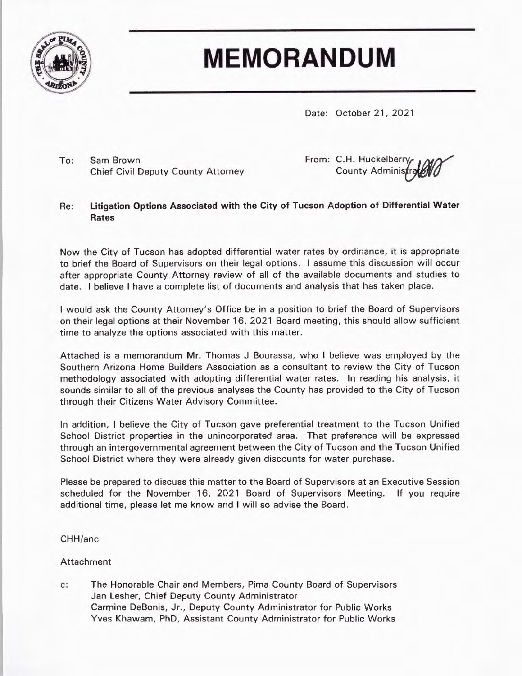

## **MEMORANDUM**

Date: October 21, 2021

To: Sam Brown Chief Civil Deputy County Attorney From: C.H. Huckelberry County Administr

## Re: **Litigation Options Associated with the City of Tucson Adoption of Differential W ater Rates**

Now the City of Tucson has adopted differential water rates by ordinance, it is appropriate to brief the Board of Supervisors on their legal options. I assume this discussion will occur after appropriate County Attorney review of all of the available documents and studies to date. I believe I have a complete list of documents and analysis that has taken place.

I would ask the County Attorney's Office be in a position to brief the Board of Supervisors on their legal options at their November 16, 2021 Board meeting, this should allow sufficient time to analyze the options associated with this matter.

Attached is a memorandum Mr. Thomas J Bourassa, who I believe was employed by the Southern Arizona Home Builders Association as a consultant to review the City of Tucson methodology associated with adopting differential water rates. In reading his analysis, it sounds similar to all of the previous analyses the County has provided to the City of Tucson through their Citizens Water Advisory Committee.

In addition, I believe the City of Tucson gave preferential treatment to the Tucson Unified School District properties in the unincorporated area. That preference will be expressed through an intergovernmental agreement between the City of Tucson and the Tucson Unified School District where they were already given discounts for water purchase.

Please be prepared to discuss this matter to the Board of Supervisors at an Executive Session scheduled for the November 16, 2021 Board of Supervisors Meeting. If you require additional time, please let me know and I will so advise the Board.

CHH/anc

Attachment

c: The Honorable Chair and Members, Pima County Board of Supervisors Jan Lesher, Chief Deputy County Administrator Carmine DeBonis, Jr., Deputy County Administrator for Public Works Yves Khawam, PhD, Assistant County Administrator for Public Works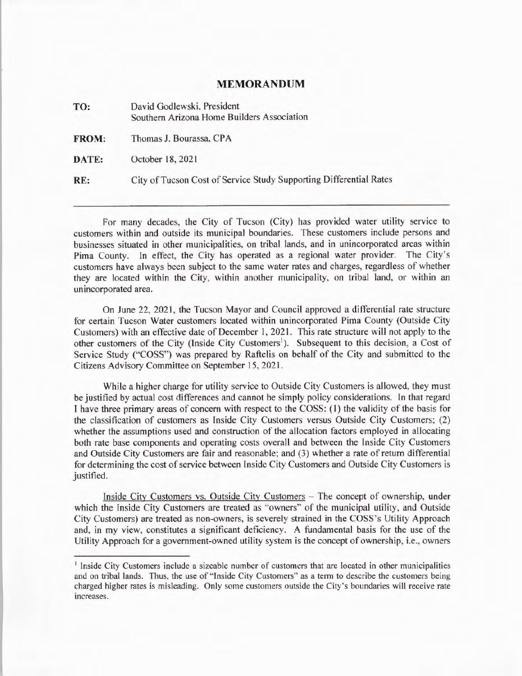## **MEMORANDUM**

| TO:          | David Godlewski, President<br>Southern Arizona Home Builders Association |
|--------------|--------------------------------------------------------------------------|
| <b>FROM:</b> | Thomas J. Bourassa, CPA                                                  |
| DATE:        | October 18, 2021                                                         |
| RE:          | City of Tucson Cost of Service Study Supporting Differential Rates       |

For many decades, the City of Tucson (City) has provided water utility service to customers within and outside its municipal boundaries. These customers include persons and businesses situated in other municipalities, on tribal lands, and in unincorporated areas within Pima County. In effect, the City has operated as a regional water provider. The City's customers have always been subject to the same water rates and charges, regardless of whether they are located within the City, within another municipality, on tribal land, or within an unincorporated area.

On June 22, 2021, the Tucson Mayor and Council approved a differential rate structure for certain Tucson Water customers located within unincorporated Pima County (Outside City Customers) with an effective date of December I, 2021. This rate structure will not apply to the other customers of the City (Inside City Customers<sup>1</sup>). Subsequent to this decision, a Cost of Service Study ("COSS") was prepared by Raftelis on behalf of the City and submitted to the Citizens Advisory Committee on September 15, 2021.

While a higher charge for utility service to Outside City Customers is allowed, they must be justified by actual cost differences and cannot be simply policy considerations. In that regard I have three primary areas of concern with respect to the COSS: (I) the validity of the basis for the classification of customers as Inside City Customers versus Outside City Customers; (2) whether the assumptions used and construction of the allocation factors employed in allocating both rate base components and operating costs overall and between the Inside City Customers and Outside City Customers are fair and reasonable; and (3) whether a rate of return differential for determining the cost of service between Inside City Customers and Outside City Customers is justified.

Inside City Customers vs. Outside City Customers - The concept of ownership, under which the Inside City Customers are treated as "owners" of the municipal utility, and Outside City Customers) are treated as non-owners, is severely strained in the COSS's Utility Approach and, in my view, constitutes a significant deficiency. A fundamental basis for the use of the Utility Approach for a government-owned utility system is the concept of ownership, i.e., owners

<sup>&</sup>lt;sup>1</sup> Inside City Customers include a sizeable number of customers that are located in other municipalities and on tribal lands. Thus, the use of "Inside City Customers" as a term to describe the customers being charged higher rates is misleading. Only some customers outside the City's boundaries will receive rate increases.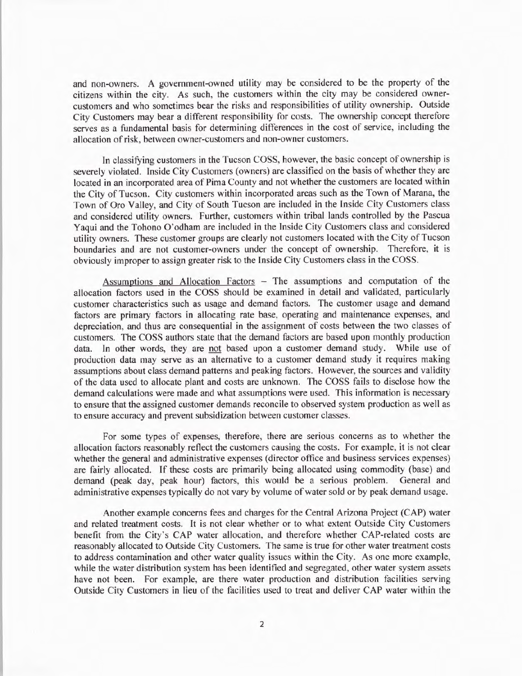and non-owners. A government-owned utility may be considered to be the property of the citizens within the city. As such, the customers within the city may be considered ownercustomers and who sometimes bear the risks and responsibilities of utility ownership. Outside City Customers may bear a different responsibility for costs. The ownership concept therefore serves as a fundamental basis for determining differences in the cost of service, including the allocation of risk, between owner-customers and non-owner customers.

In classifying customers in the Tucson COSS, however, the basic concept of ownership is severely violated. Inside City Customers (owners) are classified on the basis of whether they are located in an incorporated area of Pima County and not whether the customers are located within the City of Tucson. City customers within incorporated areas such as the Town of Marana, the Town of Oro Valley, and City of South Tucson are included in the Inside City Customers class and considered utility owners. Further, customers within tribal lands controlled by the Pascua Yaqui and the Tohono O' odham are included in the Inside City Customers class and considered utility owners. These customer groups are clearly not customers located with the City of Tucson boundaries and are not customer-owners under the concept of ownership. Therefore, it is obviously improper to assign greater risk to the Inside City Customers class in the COSS.

Assumptions and Allocation Factors - The assumptions and computation of the allocation factors used in the COSS should be examined in detail and validated, particularly customer characteristics such as usage and demand factors. The customer usage and demand factors are primary factors in allocating rate base, operating and maintenance expenses, and depreciation, and thus are consequential in the assignment of costs between the two classes of customers. The COSS authors state that the demand factors are based upon monthly production data. In other words, they are not based upon a customer demand study. While use of production data may serve as an alternative to a customer demand study it requires making assumptions about class demand patterns and peaking factors. However, the sources and validity of the data used to allocate plant and costs are unknown. The COSS fails to disclose how the demand calculations were made and what assumptions were used. This information is necessary to ensure that the assigned customer demands reconcile to observed system production as well as to ensure accuracy and prevent subsidization between customer classes.

For some types of expenses, therefore, there are serious concerns as to whether the allocation factors reasonably reflect the customers causing the costs. For example, it is not clear whether the general and administrative expenses (director office and business services expenses) are fairly allocated. If these costs are primarily being allocated using commodity (base) and demand (peak day, peak hour) factors, this would be a serious problem. General and administrative expenses typically do not vary by volume of water sold or by peak demand usage.

Another example concerns fees and charges for the Central Arizona Project (CAP) water and related treatment costs. It is not clear whether or to what extent Outside City Customers benefit from the City's CAP water allocation, and therefore whether CAP-related costs are reasonably allocated to Outside City Customers. The same is true for other water treatment costs to address contamination and other water quality issues within the City. As one more example, while the water distribution system has been identified and segregated, other water system assets have not been. For example, are there water production and distribution facilities serving Outside City Customers in lieu of the facilities used to treat and deliver CAP water within the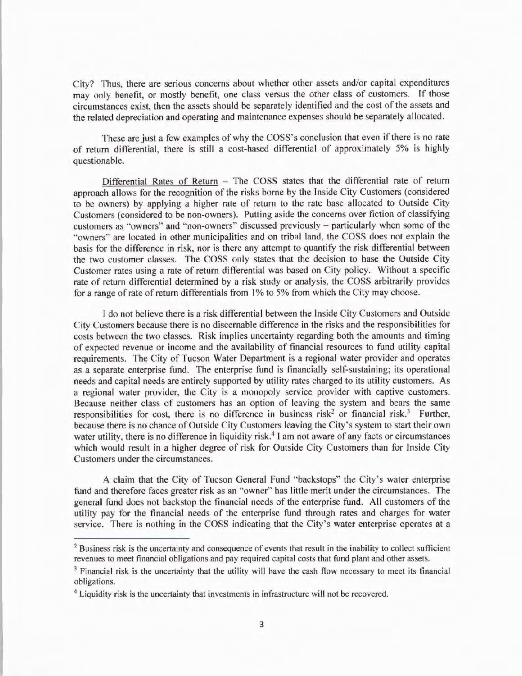City? Thus, there are serious concerns about whether other assets and/or capital expenditures may only benefit, or mostly benefit, one class versus the other class of customers. If those circumstances exist, then the assets should be separately identified and the cost of the assets and the related depreciation and operating and maintenance expenses should be separately allocated.

These are just a few examples of why the COSS 's conclusion that even if there is no rate of return differential, there is still a cost-based differential of approximately 5% is highly questionable.

Differential Rates of Return  $-$  The COSS states that the differential rate of return approach allows for the recognition of the risks borne by the Inside City Customers ( considered to be owners) by applying a higher rate of return to the rate base allocated to Outside City Customers (considered to be non-owners). Putting aside the concerns over fiction of classifying customers as "owners" and "non-owners" discussed previously - particularly when some of the "owners" are located in other municipalities and on tribal land, the COSS does not explain the basis for the difference in risk, nor is there any attempt to quantify the risk differential between the two customer classes. The COSS only states that the decision to base the Outside City Customer rates using a rate of return differential was based on City policy. Without a specific rate of return differential determined by a risk study or analysis, the COSS arbitrarily provides for a range of rate of return differentials from 1% to 5% from which the City may choose.

I do not believe there is a risk differential between the Inside City Customers and Outside City Customers because there is no discernable difference in the risks and the responsibilities for costs between the two classes. Risk implies uncertainty regarding both the amounts and timing of expected revenue or income and the availability of financial resources to fund utility capital requirements. The City of Tucson Water Department is a regional water provider and operates as a separate enterprise fund. The enterprise fund is financially self-sustaining; its operational needs and capital needs are entirely supported by utility rates charged to its utility customers. As a regional water provider, the City is a monopoly service provider with captive customers. Because neither class of customers has an option of leaving the system and bears the same responsibilities for cost, there is no difference in business risk<sup>2</sup> or financial risk.<sup>3</sup> Further, because there is no chance of Outside City Customers leaving the City's system to start their own water utility, there is no difference in liquidity risk.<sup>4</sup> I am not aware of any facts or circumstances which would result in a higher degree of risk for Outside City Customers than for Inside City Customers under the circumstances.

A claim that the City of Tucson General Fund "backstops" the City's water enterprise fund and therefore faces greater risk as an "owner" has little merit under the circumstances. The general fund does not backstop the financial needs of the enterprise fund. All customers of the utility pay for the financial needs of the enterprise fund through rates and charges for water service. There is nothing in the COSS indicating that the City's water enterprise operates at a

<sup>&</sup>lt;sup>2</sup> Business risk is the uncertainty and consequence of events that result in the inability to collect sufficient revenues to meet financial obligations and pay required capital costs that fund plant and other assets.

<sup>&</sup>lt;sup>3</sup> Financial risk is the uncertainty that the utility will have the cash flow necessary to meet its financial obligations.

<sup>4</sup> Liquidity risk is the uncertainty that investments in infrastructure will not be recovered.